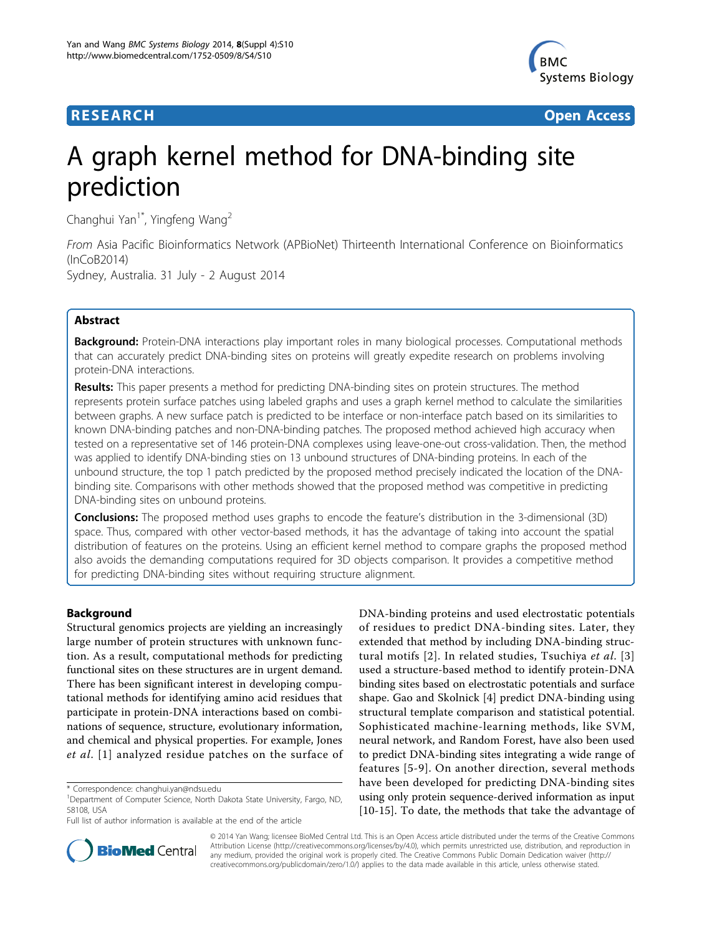

**RESEARCH CONTROL** CONTROL CONTROL CONTROL CONTROL CONTROL CONTROL CONTROL CONTROL CONTROL CONTROL CONTROL CONTROL CONTROL CONTROL CONTROL CONTROL CONTROL CONTROL CONTROL CONTROL CONTROL CONTROL CONTROL CONTROL CONTROL CON

# A graph kernel method for DNA-binding site prediction

Changhui Yan<sup>1\*</sup>, Yingfeng Wang<sup>2</sup>

From Asia Pacific Bioinformatics Network (APBioNet) Thirteenth International Conference on Bioinformatics (InCoB2014) Sydney, Australia. 31 July - 2 August 2014

# Abstract

**Background:** Protein-DNA interactions play important roles in many biological processes. Computational methods that can accurately predict DNA-binding sites on proteins will greatly expedite research on problems involving protein-DNA interactions.

Results: This paper presents a method for predicting DNA-binding sites on protein structures. The method represents protein surface patches using labeled graphs and uses a graph kernel method to calculate the similarities between graphs. A new surface patch is predicted to be interface or non-interface patch based on its similarities to known DNA-binding patches and non-DNA-binding patches. The proposed method achieved high accuracy when tested on a representative set of 146 protein-DNA complexes using leave-one-out cross-validation. Then, the method was applied to identify DNA-binding sties on 13 unbound structures of DNA-binding proteins. In each of the unbound structure, the top 1 patch predicted by the proposed method precisely indicated the location of the DNAbinding site. Comparisons with other methods showed that the proposed method was competitive in predicting DNA-binding sites on unbound proteins.

**Conclusions:** The proposed method uses graphs to encode the feature's distribution in the 3-dimensional (3D) space. Thus, compared with other vector-based methods, it has the advantage of taking into account the spatial distribution of features on the proteins. Using an efficient kernel method to compare graphs the proposed method also avoids the demanding computations required for 3D objects comparison. It provides a competitive method for predicting DNA-binding sites without requiring structure alignment.

# Background

Structural genomics projects are yielding an increasingly large number of protein structures with unknown function. As a result, computational methods for predicting functional sites on these structures are in urgent demand. There has been significant interest in developing computational methods for identifying amino acid residues that participate in protein-DNA interactions based on combinations of sequence, structure, evolutionary information, and chemical and physical properties. For example, Jones et al. [[1](#page-6-0)] analyzed residue patches on the surface of DNA-binding proteins and used electrostatic potentials of residues to predict DNA-binding sites. Later, they extended that method by including DNA-binding struc-tural motifs [[2](#page-6-0)]. In related studies, Tsuchiya et al. [[3](#page-6-0)] used a structure-based method to identify protein-DNA binding sites based on electrostatic potentials and surface shape. Gao and Skolnick [\[4](#page-6-0)] predict DNA-binding using structural template comparison and statistical potential. Sophisticated machine-learning methods, like SVM, neural network, and Random Forest, have also been used to predict DNA-binding sites integrating a wide range of features [[5](#page-6-0)-[9](#page-6-0)]. On another direction, several methods have been developed for predicting DNA-binding sites using only protein sequence-derived information as input [[10-15](#page-6-0)]. To date, the methods that take the advantage of



© 2014 Yan Wang; licensee BioMed Central Ltd. This is an Open Access article distributed under the terms of the Creative Commons Attribution License [\(http://creativecommons.org/licenses/by/4.0](http://creativecommons.org/licenses/by/4.0)), which permits unrestricted use, distribution, and reproduction in any medium, provided the original work is properly cited. The Creative Commons Public Domain Dedication waiver [\(http://](http://creativecommons.org/publicdomain/zero/1.0/) [creativecommons.org/publicdomain/zero/1.0/](http://creativecommons.org/publicdomain/zero/1.0/)) applies to the data made available in this article, unless otherwise stated.

<sup>\*</sup> Correspondence: [changhui.yan@ndsu.edu](mailto:changhui.yan@ndsu.edu)

<sup>&</sup>lt;sup>1</sup>Department of Computer Science, North Dakota State University, Fargo, ND, 58108, USA

Full list of author information is available at the end of the article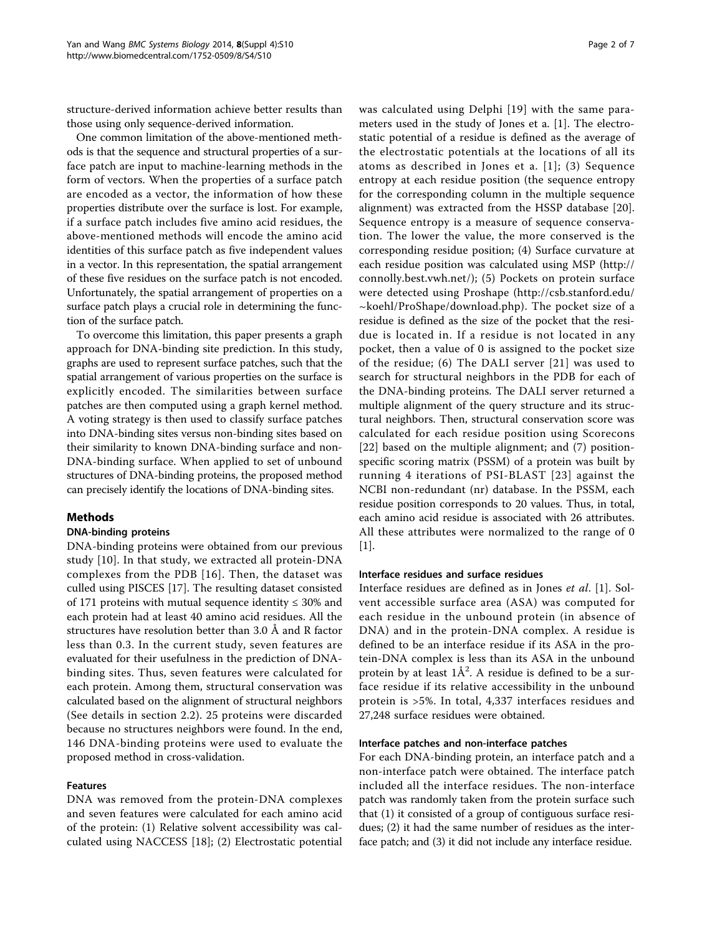structure-derived information achieve better results than those using only sequence-derived information.

One common limitation of the above-mentioned methods is that the sequence and structural properties of a surface patch are input to machine-learning methods in the form of vectors. When the properties of a surface patch are encoded as a vector, the information of how these properties distribute over the surface is lost. For example, if a surface patch includes five amino acid residues, the above-mentioned methods will encode the amino acid identities of this surface patch as five independent values in a vector. In this representation, the spatial arrangement of these five residues on the surface patch is not encoded. Unfortunately, the spatial arrangement of properties on a surface patch plays a crucial role in determining the function of the surface patch.

To overcome this limitation, this paper presents a graph approach for DNA-binding site prediction. In this study, graphs are used to represent surface patches, such that the spatial arrangement of various properties on the surface is explicitly encoded. The similarities between surface patches are then computed using a graph kernel method. A voting strategy is then used to classify surface patches into DNA-binding sites versus non-binding sites based on their similarity to known DNA-binding surface and non-DNA-binding surface. When applied to set of unbound structures of DNA-binding proteins, the proposed method can precisely identify the locations of DNA-binding sites.

#### Methods

#### DNA-binding proteins

DNA-binding proteins were obtained from our previous study [[10\]](#page-6-0). In that study, we extracted all protein-DNA complexes from the PDB [[16\]](#page-6-0). Then, the dataset was culled using PISCES [[17\]](#page-6-0). The resulting dataset consisted of 171 proteins with mutual sequence identity  $\leq$  30% and each protein had at least 40 amino acid residues. All the structures have resolution better than 3.0 Å and R factor less than 0.3. In the current study, seven features are evaluated for their usefulness in the prediction of DNAbinding sites. Thus, seven features were calculated for each protein. Among them, structural conservation was calculated based on the alignment of structural neighbors (See details in section 2.2). 25 proteins were discarded because no structures neighbors were found. In the end, 146 DNA-binding proteins were used to evaluate the proposed method in cross-validation.

### Features

DNA was removed from the protein-DNA complexes and seven features were calculated for each amino acid of the protein: (1) Relative solvent accessibility was calculated using NACCESS [[18\]](#page-6-0); (2) Electrostatic potential was calculated using Delphi [[19](#page-6-0)] with the same parameters used in the study of Jones et a. [\[1](#page-6-0)]. The electrostatic potential of a residue is defined as the average of the electrostatic potentials at the locations of all its atoms as described in Jones et a. [\[1\]](#page-6-0); (3) Sequence entropy at each residue position (the sequence entropy for the corresponding column in the multiple sequence alignment) was extracted from the HSSP database [\[20](#page-6-0)]. Sequence entropy is a measure of sequence conservation. The lower the value, the more conserved is the corresponding residue position; (4) Surface curvature at each residue position was calculated using MSP ([http://](http://connolly.best.vwh.net/) [connolly.best.vwh.net/\)](http://connolly.best.vwh.net/); (5) Pockets on protein surface were detected using Proshape ([http://csb.stanford.edu/](http://csb.stanford.edu/~koehl/ProShape/download.php)  $\sim$ koehl/ProShape/download.php). The pocket size of a residue is defined as the size of the pocket that the residue is located in. If a residue is not located in any pocket, then a value of 0 is assigned to the pocket size of the residue; (6) The DALI server [\[21\]](#page-6-0) was used to search for structural neighbors in the PDB for each of the DNA-binding proteins. The DALI server returned a multiple alignment of the query structure and its structural neighbors. Then, structural conservation score was calculated for each residue position using Scorecons [[22](#page-6-0)] based on the multiple alignment; and (7) positionspecific scoring matrix (PSSM) of a protein was built by running 4 iterations of PSI-BLAST [[23\]](#page-6-0) against the NCBI non-redundant (nr) database. In the PSSM, each residue position corresponds to 20 values. Thus, in total, each amino acid residue is associated with 26 attributes. All these attributes were normalized to the range of 0 [[1\]](#page-6-0).

# Interface residues and surface residues

Interface residues are defined as in Jones et al. [\[1](#page-6-0)]. Solvent accessible surface area (ASA) was computed for each residue in the unbound protein (in absence of DNA) and in the protein-DNA complex. A residue is defined to be an interface residue if its ASA in the protein-DNA complex is less than its ASA in the unbound protein by at least  $1\text{\AA}^2$ . A residue is defined to be a surface residue if its relative accessibility in the unbound protein is >5%. In total, 4,337 interfaces residues and 27,248 surface residues were obtained.

#### Interface patches and non-interface patches

For each DNA-binding protein, an interface patch and a non-interface patch were obtained. The interface patch included all the interface residues. The non-interface patch was randomly taken from the protein surface such that (1) it consisted of a group of contiguous surface residues; (2) it had the same number of residues as the interface patch; and (3) it did not include any interface residue.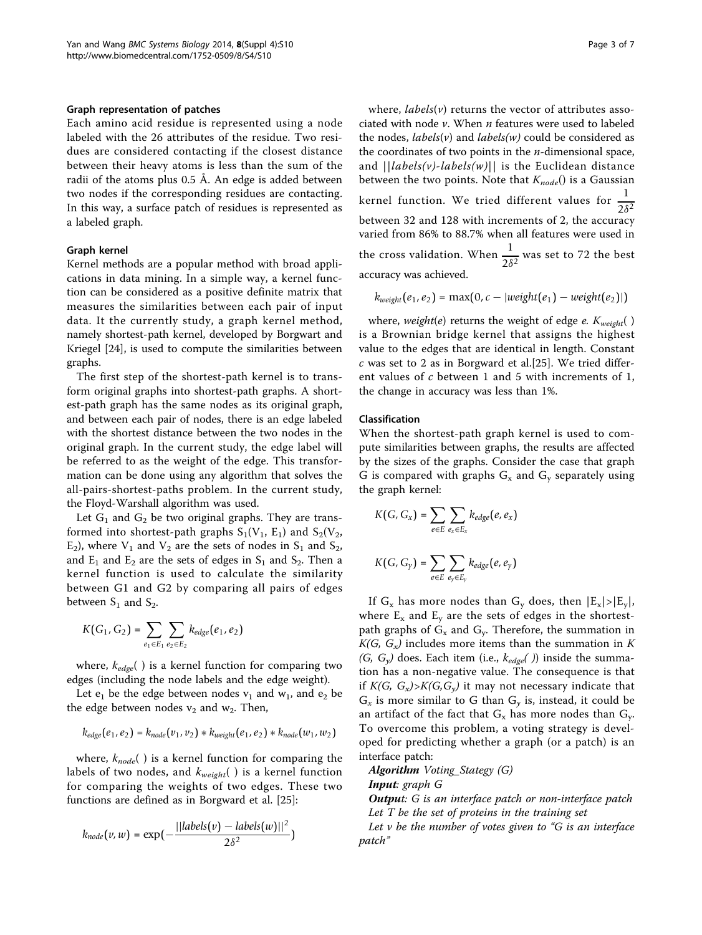#### Graph representation of patches

Each amino acid residue is represented using a node labeled with the 26 attributes of the residue. Two residues are considered contacting if the closest distance between their heavy atoms is less than the sum of the radii of the atoms plus 0.5 Å. An edge is added between two nodes if the corresponding residues are contacting. In this way, a surface patch of residues is represented as a labeled graph.

#### Graph kernel

Kernel methods are a popular method with broad applications in data mining. In a simple way, a kernel function can be considered as a positive definite matrix that measures the similarities between each pair of input data. It the currently study, a graph kernel method, namely shortest-path kernel, developed by Borgwart and Kriegel [\[24\]](#page-6-0), is used to compute the similarities between graphs.

The first step of the shortest-path kernel is to transform original graphs into shortest-path graphs. A shortest-path graph has the same nodes as its original graph, and between each pair of nodes, there is an edge labeled with the shortest distance between the two nodes in the original graph. In the current study, the edge label will be referred to as the weight of the edge. This transformation can be done using any algorithm that solves the all-pairs-shortest-paths problem. In the current study, the Floyd-Warshall algorithm was used.

Let  $G_1$  and  $G_2$  be two original graphs. They are transformed into shortest-path graphs  $S_1(V_1, E_1)$  and  $S_2(V_2, E_1)$  $E_2$ ), where  $V_1$  and  $V_2$  are the sets of nodes in  $S_1$  and  $S_2$ , and  $E_1$  and  $E_2$  are the sets of edges in  $S_1$  and  $S_2$ . Then a kernel function is used to calculate the similarity between G1 and G2 by comparing all pairs of edges between  $S_1$  and  $S_2$ .

$$
K\big(G_1,G_2\big)=\sum_{e_1\in E_1}\sum_{e_2\in E_2}k_{edge}\big(e_1,e_2\big)
$$

where,  $k_{edge}($  ) is a kernel function for comparing two edges (including the node labels and the edge weight).

Let  $e_1$  be the edge between nodes  $v_1$  and  $w_1$ , and  $e_2$  be the edge between nodes  $v_2$  and  $w_2$ . Then,

$$
k_{edge}(e_1, e_2) = k_{node}(v_1, v_2) * k_{weight}(e_1, e_2) * k_{node}(w_1, w_2)
$$

where,  $k_{node}($  ) is a kernel function for comparing the labels of two nodes, and  $k_{weight}$  () is a kernel function for comparing the weights of two edges. These two functions are defined as in Borgward et al. [[25\]](#page-6-0):

$$
k_{node}(v, w) = \exp\left(-\frac{||labels(v) - labels(w)||^2}{2\delta^2}\right)
$$

where,  $labels(v)$  returns the vector of attributes associated with node  $\nu$ . When  $n$  features were used to labeled the nodes, *labels(v)* and *labels(w)* could be considered as the coordinates of two points in the  $n$ -dimensional space, and  $||\text{labels}(v)\text{-}\text{labels}(w)||$  is the Euclidean distance between the two points. Note that  $K_{node}$ () is a Gaussian kernel function. We tried different values for  $\frac{1}{2\delta^2}$ between 32 and 128 with increments of 2, the accuracy varied from 86% to 88.7% when all features were used in the cross validation. When  $\frac{1}{2\delta^2}$  was set to 72 the best accuracy was achieved.

$$
k_{weight}(e_1, e_2) = \max(0, c - |weight(e_1) - weight(e_2)|)
$$

where, weight(e) returns the weight of edge e.  $K_{weight}$ () is a Brownian bridge kernel that assigns the highest value to the edges that are identical in length. Constant c was set to 2 as in Borgward et al.[[25](#page-6-0)]. We tried different values of  $c$  between 1 and 5 with increments of 1, the change in accuracy was less than 1%.

#### Classification

When the shortest-path graph kernel is used to compute similarities between graphs, the results are affected by the sizes of the graphs. Consider the case that graph G is compared with graphs  $G_x$  and  $G_y$  separately using the graph kernel:

$$
K(G, G_x) = \sum_{e \in E} \sum_{e_x \in E_x} k_{edge}(e, e_x)
$$
  

$$
K(G, G_y) = \sum \sum k_{edge}(e, e_y)
$$

*e*∈*E ey*∈*Ey*

If G<sub>x</sub> has more nodes than G<sub>y</sub> does, then  $|E_x|>|E_y|$ , where  $E_x$  and  $E_y$  are the sets of edges in the shortestpath graphs of  $G_x$  and  $G_y$ . Therefore, the summation in  $K(G, G_x)$  includes more items than the summation in K  $(G, G<sub>y</sub>)$  does. Each item (i.e.,  $k_{edge}($ )) inside the summation has a non-negative value. The consequence is that if  $K(G, G_x) > K(G, G_y)$  it may not necessary indicate that  $G_x$  is more similar to G than  $G_y$  is, instead, it could be an artifact of the fact that  $G_x$  has more nodes than  $G_y$ . To overcome this problem, a voting strategy is developed for predicting whether a graph (or a patch) is an interface patch:

Algorithm Voting\_Stategy (G)

Input: graph G

**Output:** G is an interface patch or non-interface patch Let T be the set of proteins in the training set

Let  $v$  be the number of votes given to "G is an interface patch"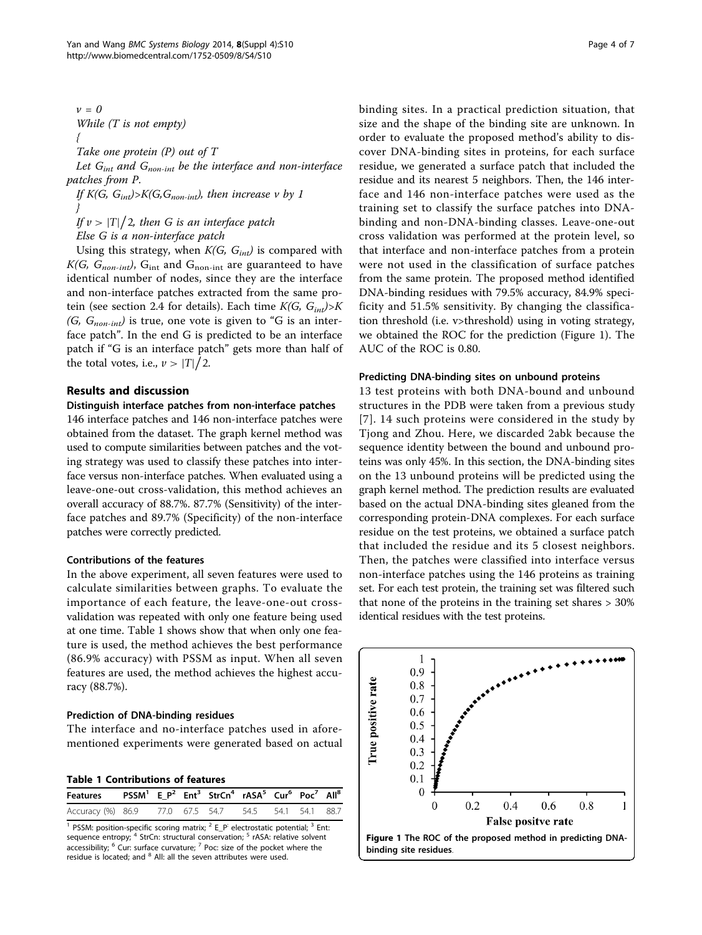<span id="page-3-0"></span> $v=0$ While (T is not empty) { Take one protein (P) out of T

Let  $G_{int}$  and  $G_{non-int}$  be the interface and non-interface patches from P.

If  $K(G, G_{int}) > K(G, G_{non-int})$ , then increase v by 1 }

If  $v > |T|/2$ , then G is an interface patch

Else G is a non-interface patch

Using this strategy, when  $K(G, G_{int})$  is compared with  $K(G, G_{non-int})$ ,  $G_{int}$  and  $G_{non-int}$  are guaranteed to have identical number of nodes, since they are the interface and non-interface patches extracted from the same protein (see section 2.4 for details). Each time  $K(G, G_{int}) > K$  $(G, G_{non-int})$  is true, one vote is given to "G is an interface patch". In the end G is predicted to be an interface patch if "G is an interface patch" gets more than half of the total votes, i.e.,  $\nu > |T|/2$ .

# Results and discussion

#### Distinguish interface patches from non-interface patches

146 interface patches and 146 non-interface patches were obtained from the dataset. The graph kernel method was used to compute similarities between patches and the voting strategy was used to classify these patches into interface versus non-interface patches. When evaluated using a leave-one-out cross-validation, this method achieves an overall accuracy of 88.7%. 87.7% (Sensitivity) of the interface patches and 89.7% (Specificity) of the non-interface patches were correctly predicted.

#### Contributions of the features

In the above experiment, all seven features were used to calculate similarities between graphs. To evaluate the importance of each feature, the leave-one-out crossvalidation was repeated with only one feature being used at one time. Table 1 shows show that when only one feature is used, the method achieves the best performance (86.9% accuracy) with PSSM as input. When all seven features are used, the method achieves the highest accuracy (88.7%).

# Prediction of DNA-binding residues

The interface and no-interface patches used in aforementioned experiments were generated based on actual

Table 1 Contributions of features

| Features PSSM <sup>1</sup> E_P <sup>2</sup> Ent <sup>3</sup> StrCn <sup>4</sup> rASA <sup>5</sup> Cur <sup>6</sup> Poc <sup>7</sup> All <sup>8</sup> |  |  |  |  |
|------------------------------------------------------------------------------------------------------------------------------------------------------|--|--|--|--|
| Accuracy (%) 86.9 77.0 67.5 54.7 54.5 54.1 54.1 88.7                                                                                                 |  |  |  |  |

<sup>1</sup> PSSM: position-specific scoring matrix;  $2$  E\_P<sup>:</sup> electrostatic potential;  $3$  Ent: sequence entropy; <sup>4</sup> StrCn: structural conservation; <sup>5</sup> rASA: relative solvent accessibility;  $6$  Cur: surface curvature;  $7$  Poc: size of the pocket where the residue is located; and <sup>8</sup> All: all the seven attributes were used.

binding sites. In a practical prediction situation, that size and the shape of the binding site are unknown. In order to evaluate the proposed method's ability to discover DNA-binding sites in proteins, for each surface residue, we generated a surface patch that included the residue and its nearest 5 neighbors. Then, the 146 interface and 146 non-interface patches were used as the training set to classify the surface patches into DNAbinding and non-DNA-binding classes. Leave-one-out cross validation was performed at the protein level, so that interface and non-interface patches from a protein were not used in the classification of surface patches from the same protein. The proposed method identified DNA-binding residues with 79.5% accuracy, 84.9% specificity and 51.5% sensitivity. By changing the classification threshold (i.e. v>threshold) using in voting strategy, we obtained the ROC for the prediction (Figure 1). The AUC of the ROC is 0.80.

#### Predicting DNA-binding sites on unbound proteins

13 test proteins with both DNA-bound and unbound structures in the PDB were taken from a previous study [[7](#page-6-0)]. 14 such proteins were considered in the study by Tjong and Zhou. Here, we discarded 2abk because the sequence identity between the bound and unbound proteins was only 45%. In this section, the DNA-binding sites on the 13 unbound proteins will be predicted using the graph kernel method. The prediction results are evaluated based on the actual DNA-binding sites gleaned from the corresponding protein-DNA complexes. For each surface residue on the test proteins, we obtained a surface patch that included the residue and its 5 closest neighbors. Then, the patches were classified into interface versus non-interface patches using the 146 proteins as training set. For each test protein, the training set was filtered such that none of the proteins in the training set shares > 30% identical residues with the test proteins.

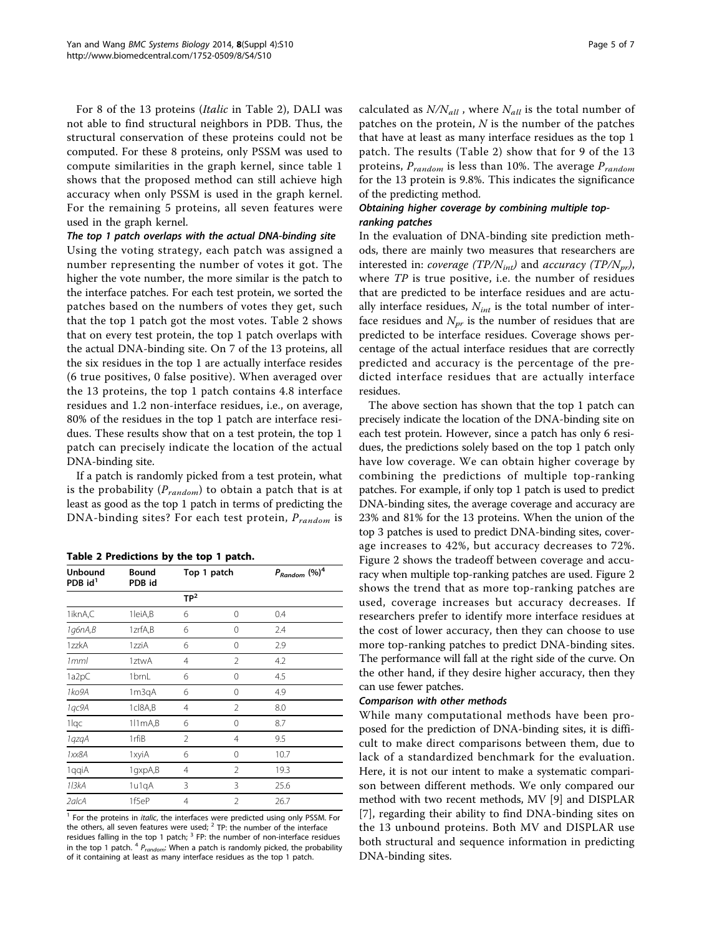For 8 of the 13 proteins (Italic in Table 2), DALI was not able to find structural neighbors in PDB. Thus, the structural conservation of these proteins could not be computed. For these 8 proteins, only PSSM was used to compute similarities in the graph kernel, since table [1](#page-3-0) shows that the proposed method can still achieve high accuracy when only PSSM is used in the graph kernel. For the remaining 5 proteins, all seven features were used in the graph kernel.

# The top 1 patch overlaps with the actual DNA-binding site

Using the voting strategy, each patch was assigned a number representing the number of votes it got. The higher the vote number, the more similar is the patch to the interface patches. For each test protein, we sorted the patches based on the numbers of votes they get, such that the top 1 patch got the most votes. Table 2 shows that on every test protein, the top 1 patch overlaps with the actual DNA-binding site. On 7 of the 13 proteins, all the six residues in the top 1 are actually interface resides (6 true positives, 0 false positive). When averaged over the 13 proteins, the top 1 patch contains 4.8 interface residues and 1.2 non-interface residues, i.e., on average, 80% of the residues in the top 1 patch are interface residues. These results show that on a test protein, the top 1 patch can precisely indicate the location of the actual DNA-binding site.

If a patch is randomly picked from a test protein, what is the probability ( $P_{random}$ ) to obtain a patch that is at least as good as the top 1 patch in terms of predicting the DNA-binding sites? For each test protein,  $P_{random}$  is

Table 2 Predictions by the top 1 patch.

| <b>Unbound</b><br>PDB id <sup>1</sup> | <b>Bound</b><br>PDB id | Top 1 patch     |                | $P_{Random}$ (%) <sup>4</sup> |  |
|---------------------------------------|------------------------|-----------------|----------------|-------------------------------|--|
|                                       |                        | TP <sup>2</sup> |                |                               |  |
| 1iknA,C                               | 1leiA,B                | 6               | 0              | 0.4                           |  |
| 1g6nA,B                               | 1zrfA,B                | 6               | $\Omega$       | 2.4                           |  |
| 1zzkA                                 | 1zziA                  | 6               | $\Omega$       | 2.9                           |  |
| 1 <sub>mml</sub>                      | 1ztwA                  | 4               | $\mathfrak{D}$ | 4.2                           |  |
| 1a2pC                                 | 1brnL                  | 6               | 0              | 4.5                           |  |
| 1ko9A                                 | 1m3qA                  | 6               | 0              | 4.9                           |  |
| 1qc9A                                 | 1cl8A,B                | 4               | 2              | 8.0                           |  |
| 1lgc                                  | $111mA$ <sub>B</sub>   | 6               | $\Omega$       | 8.7                           |  |
| 1qzqA                                 | 1rfiB                  | 2               | 4              | 9.5                           |  |
| 1xx8A                                 | 1xyiA                  | 6               | $\Omega$       | 10.7                          |  |
| 1qqiA                                 | 1gxpA,B                | 4               | $\mathfrak{D}$ | 19.3                          |  |
| 113kA                                 | 1u1qA                  | 3               | 3              | 25.6                          |  |
| 2alcA                                 | 1f5eP                  | $\overline{4}$  | $\mathfrak{D}$ | 26.7                          |  |

<sup>1</sup> For the proteins in *italic*, the interfaces were predicted using only PSSM. For the others, all seven features were used;  $2$  TP: the number of the interface residues falling in the top 1 patch;  $3$  FP: the number of non-interface residues in the top 1 patch.  $4$   $P_{random}$ : When a patch is randomly picked, the probability of it containing at least as many interface residues as the top 1 patch.

calculated as  $N/N_{all}$ , where  $N_{all}$  is the total number of patches on the protein,  $N$  is the number of the patches that have at least as many interface residues as the top 1 patch. The results (Table 2) show that for 9 of the 13 proteins,  $P_{random}$  is less than 10%. The average  $P_{random}$ for the 13 protein is 9.8%. This indicates the significance of the predicting method.

# Obtaining higher coverage by combining multiple topranking patches

In the evaluation of DNA-binding site prediction methods, there are mainly two measures that researchers are interested in: coverage (TP/N<sub>int</sub>) and accuracy (TP/N<sub>pr</sub>), where TP is true positive, i.e. the number of residues that are predicted to be interface residues and are actually interface residues,  $N_{int}$  is the total number of interface residues and  $N_{pr}$  is the number of residues that are predicted to be interface residues. Coverage shows percentage of the actual interface residues that are correctly predicted and accuracy is the percentage of the predicted interface residues that are actually interface residues.

The above section has shown that the top 1 patch can precisely indicate the location of the DNA-binding site on each test protein. However, since a patch has only 6 residues, the predictions solely based on the top 1 patch only have low coverage. We can obtain higher coverage by combining the predictions of multiple top-ranking patches. For example, if only top 1 patch is used to predict DNA-binding sites, the average coverage and accuracy are 23% and 81% for the 13 proteins. When the union of the top 3 patches is used to predict DNA-binding sites, coverage increases to 42%, but accuracy decreases to 72%. Figure [2](#page-5-0) shows the tradeoff between coverage and accuracy when multiple top-ranking patches are used. Figure [2](#page-5-0) shows the trend that as more top-ranking patches are used, coverage increases but accuracy decreases. If researchers prefer to identify more interface residues at the cost of lower accuracy, then they can choose to use more top-ranking patches to predict DNA-binding sites. The performance will fall at the right side of the curve. On the other hand, if they desire higher accuracy, then they can use fewer patches.

# Comparison with other methods

While many computational methods have been proposed for the prediction of DNA-binding sites, it is difficult to make direct comparisons between them, due to lack of a standardized benchmark for the evaluation. Here, it is not our intent to make a systematic comparison between different methods. We only compared our method with two recent methods, MV [[9\]](#page-6-0) and DISPLAR [[7\]](#page-6-0), regarding their ability to find DNA-binding sites on the 13 unbound proteins. Both MV and DISPLAR use both structural and sequence information in predicting DNA-binding sites.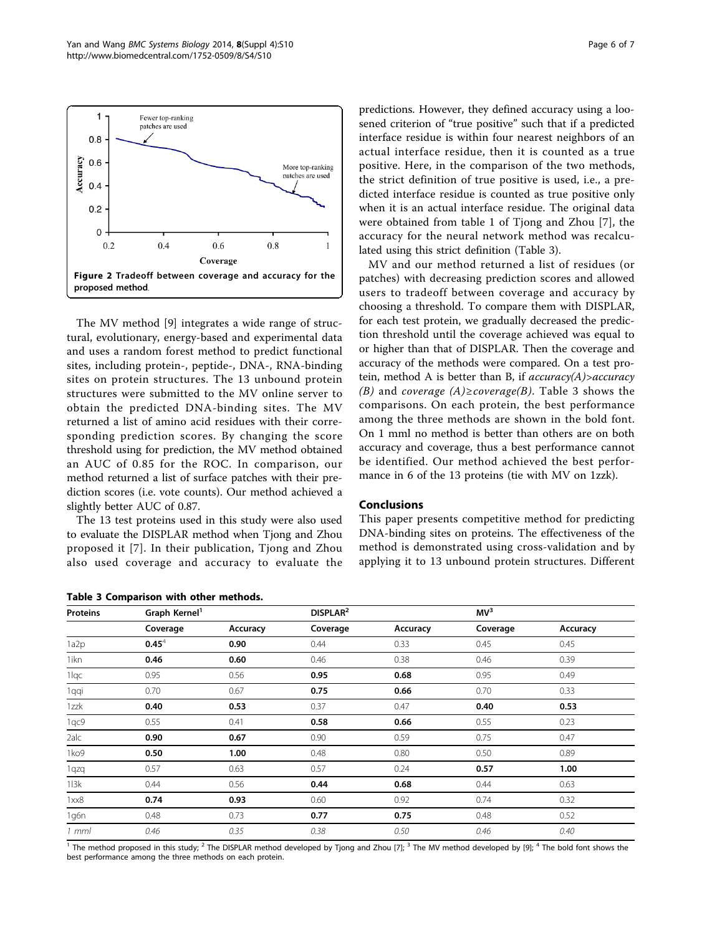The MV method [\[9](#page-6-0)] integrates a wide range of structural, evolutionary, energy-based and experimental data and uses a random forest method to predict functional sites, including protein-, peptide-, DNA-, RNA-binding sites on protein structures. The 13 unbound protein structures were submitted to the MV online server to obtain the predicted DNA-binding sites. The MV returned a list of amino acid residues with their corresponding prediction scores. By changing the score threshold using for prediction, the MV method obtained an AUC of 0.85 for the ROC. In comparison, our method returned a list of surface patches with their prediction scores (i.e. vote counts). Our method achieved a slightly better AUC of 0.87.

The 13 test proteins used in this study were also used to evaluate the DISPLAR method when Tjong and Zhou proposed it [\[7\]](#page-6-0). In their publication, Tjong and Zhou also used coverage and accuracy to evaluate the

Table 3 Comparison with other methods.

predictions. However, they defined accuracy using a loosened criterion of "true positive" such that if a predicted interface residue is within four nearest neighbors of an actual interface residue, then it is counted as a true positive. Here, in the comparison of the two methods, the strict definition of true positive is used, i.e., a predicted interface residue is counted as true positive only when it is an actual interface residue. The original data were obtained from table [1](#page-3-0) of Tjong and Zhou [\[7](#page-6-0)], the accuracy for the neural network method was recalculated using this strict definition (Table 3).

MV and our method returned a list of residues (or patches) with decreasing prediction scores and allowed users to tradeoff between coverage and accuracy by choosing a threshold. To compare them with DISPLAR, for each test protein, we gradually decreased the prediction threshold until the coverage achieved was equal to or higher than that of DISPLAR. Then the coverage and accuracy of the methods were compared. On a test protein, method A is better than B, if  $accuracy(A) > accuracy$ (B) and coverage (A)≥coverage(B). Table 3 shows the comparisons. On each protein, the best performance among the three methods are shown in the bold font. On 1 mml no method is better than others are on both accuracy and coverage, thus a best performance cannot be identified. Our method achieved the best performance in 6 of the 13 proteins (tie with MV on 1zzk).

### Conclusions

This paper presents competitive method for predicting DNA-binding sites on proteins. The effectiveness of the method is demonstrated using cross-validation and by applying it to 13 unbound protein structures. Different

| <b>Proteins</b>   | Graph Kernel <sup>1</sup> |          | DISPLAR <sup>2</sup> |          | MV <sup>3</sup> |          |
|-------------------|---------------------------|----------|----------------------|----------|-----------------|----------|
|                   | Coverage                  | Accuracy | Coverage             | Accuracy | Coverage        | Accuracy |
| 1a2p              | $0.45^4$                  | 0.90     | 0.44                 | 0.33     | 0.45            | 0.45     |
| 1ikn              | 0.46                      | 0.60     | 0.46                 | 0.38     | 0.46            | 0.39     |
| 1lqc              | 0.95                      | 0.56     | 0.95                 | 0.68     | 0.95            | 0.49     |
| 1qqi              | 0.70                      | 0.67     | 0.75                 | 0.66     | 0.70            | 0.33     |
| 1zzk              | 0.40                      | 0.53     | 0.37                 | 0.47     | 0.40            | 0.53     |
| 1qc9              | 0.55                      | 0.41     | 0.58                 | 0.66     | 0.55            | 0.23     |
| 2alc              | 0.90                      | 0.67     | 0.90                 | 0.59     | 0.75            | 0.47     |
| 1ko9              | 0.50                      | 1.00     | 0.48                 | 0.80     | 0.50            | 0.89     |
| 1qzq              | 0.57                      | 0.63     | 0.57                 | 0.24     | 0.57            | 1.00     |
| 113k              | 0.44                      | 0.56     | 0.44                 | 0.68     | 0.44            | 0.63     |
| 1x <sub>X</sub> 8 | 0.74                      | 0.93     | 0.60                 | 0.92     | 0.74            | 0.32     |
| 1g6n              | 0.48                      | 0.73     | 0.77                 | 0.75     | 0.48            | 0.52     |
| 1 mml             | 0.46                      | 0.35     | 0.38                 | 0.50     | 0.46            | 0.40     |

<sup>1</sup> The method proposed in this study; <sup>2</sup> The DISPLAR method developed by Tjong and Zhou [\[7\]](#page-6-0); <sup>3</sup> The MV method developed by [[9\]](#page-6-0); <sup>4</sup> The bold font shows the best performance among the three methods on each protein.

<span id="page-5-0"></span>